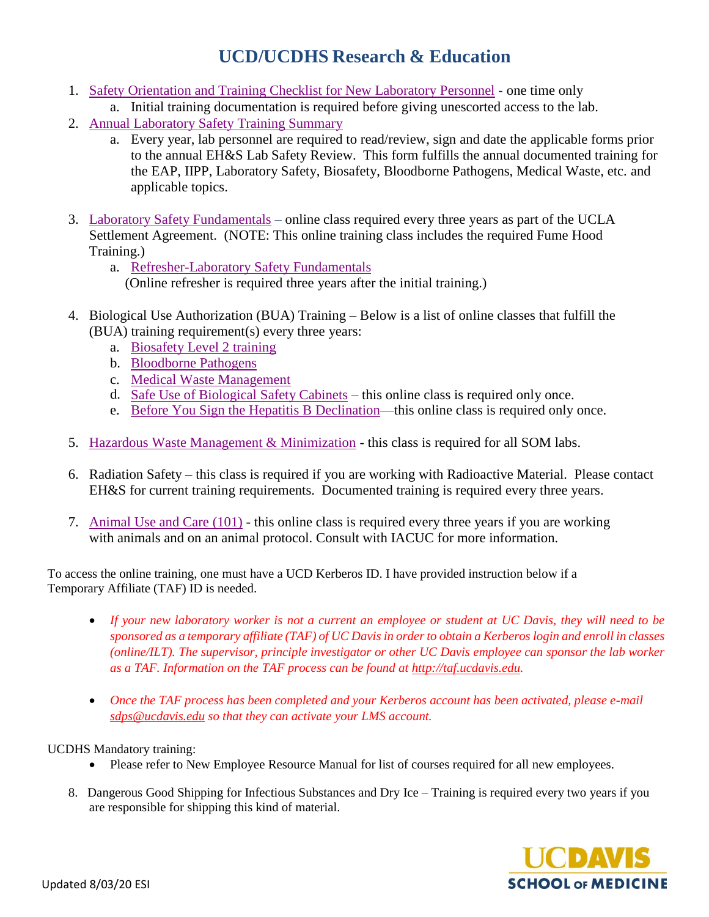## **UCD/UCDHS Research & Education**

- 1. [Safety Orientation and Training Checklist for New Laboratory Personnel](https://ucdavis.app.box.com/s/x0q2bwycvtp8tyt79x4yj8ozylit6opn) one time only
- a. Initial training documentation is required before giving unescorted access to the lab.
- 2. Annual [Laboratory](https://health.ucdavis.edu/medresearch/safety/Documents/7.2_Annual_Safety_Training_Summary.pdf) Safety Training Summary
	- a. Every year, lab personnel are required to read/review, sign and date the applicable forms prior to the annual EH&S Lab Safety Review. This form fulfills the annual documented training for the EAP, IIPP, Laboratory Safety, Biosafety, Bloodborne Pathogens, Medical Waste, etc. and applicable topics.
- 3. Laboratory Safety [Fundamentals](https://safetyservices.ucdavis.edu/training/uc-laboratory-safety-fundamentals) online class required every three years as part of the UCLA Settlement Agreement. (NOTE: This online training class includes the required Fume Hood Training.)
	- a. [Refresher-Laboratory](https://safetyservices.ucdavis.edu/training/uc-laboratory-safety-refresher) Safety Fundamentals (Online refresher is required three years after the initial training.)
- 4. Biological Use Authorization (BUA) Training Below is a list of online classes that fulfill the (BUA) training requirement(s) every three years:
	- a. [Biosafety](https://safetyservices.ucdavis.edu/training/uc-davis-biosafety-level-2-online-training) Level 2 training
	- b. [Bloodborne](https://safetyservices.ucdavis.edu/training/uc-davis-bloodborne-pathogens) Pathogens
	- c. [Medical Waste Management](https://safetyservices.ucdavis.edu/training/uc-davis-medical-waste-management-training)
	- d. Safe Use [of Biological Safety](https://safetyservices.ucdavis.edu/training/safe-use-biological-safety-cabinets) Cabinets this online class is required only once.
	- e. [Before You Sign the Hepatitis B Declination—](https://safetyservices.ucdavis.edu/training/you-sign-hepatitis-b-declination)this online class is required only once.
- 5. [Hazardous Waste Management &](https://safetyservices.ucdavis.edu/training/hazardous-waste-management-and-minimization) Minimization this class is required for all SOM labs.
- 6. Radiation Safety this class is required if you are working with Radioactive Material. Please contact EH&S for current training requirements. Documented training is required every three years.
- 7. [Animal Use](https://research.ucdavis.edu/policiescompliance/animal-care-use/training-classes/animal-care-and-use-101-acu101-course/) and Care (101) this online class is required every three years if you are working with animals and on an animal protocol. Consult with IACUC for more information.

To access the online training, one must have a UCD Kerberos ID. I have provided instruction below if a Temporary Affiliate (TAF) ID is needed.

- *If your new laboratory worker is not a current an employee or student at UC Davis, they will need to be sponsored as a temporary affiliate (TAF) of UC Davis in order to obtain a Kerberos login and enroll in classes (online/ILT). The supervisor, principle investigator or other UC Davis employee can sponsor the lab worker as a TAF. Information on the TAF process can be found at [http://taf.ucdavis.edu.](http://taf.ucdavis.edu/)*
- *Once the TAF process has been completed and your Kerberos account has been activated, please e-mail [sdps@ucdavis.edu](mailto:sdps@ucdavis.edu) so that they can activate your LMS account.*

## UCDHS Mandatory training:

- Please refer to New Employee Resource Manual for list of courses required for all new employees.
- 8. Dangerous Good Shipping for Infectious Substances and Dry Ice Training is required every two years if you are responsible for shipping this kind of material.